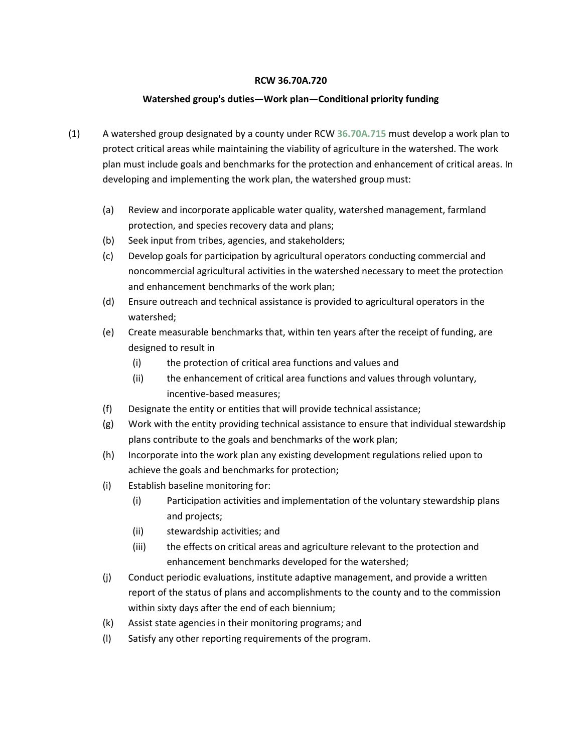#### **RCW 36.70A.720**

### **Watershed group's duties—Work plan—Conditional priority funding**

- (1) A watershed group designated by a county under RCW **[36.70A.715](http://app.leg.wa.gov/RCW/default.aspx?cite=36.70A.715)** must develop a work plan to protect critical areas while maintaining the viability of agriculture in the watershed. The work plan must include goals and benchmarks for the protection and enhancement of critical areas. In developing and implementing the work plan, the watershed group must:
	- (a) Review and incorporate applicable water quality, watershed management, farmland protection, and species recovery data and plans;
	- (b) Seek input from tribes, agencies, and stakeholders;
	- (c) Develop goals for participation by agricultural operators conducting commercial and noncommercial agricultural activities in the watershed necessary to meet the protection and enhancement benchmarks of the work plan;
	- (d) Ensure outreach and technical assistance is provided to agricultural operators in the watershed;
	- (e) Create measurable benchmarks that, within ten years after the receipt of funding, are designed to result in
		- (i) the protection of critical area functions and values and
		- (ii) the enhancement of critical area functions and values through voluntary, incentive-based measures;
	- (f) Designate the entity or entities that will provide technical assistance;
	- (g) Work with the entity providing technical assistance to ensure that individual stewardship plans contribute to the goals and benchmarks of the work plan;
	- (h) Incorporate into the work plan any existing development regulations relied upon to achieve the goals and benchmarks for protection;
	- (i) Establish baseline monitoring for:
		- (i) Participation activities and implementation of the voluntary stewardship plans and projects;
		- (ii) stewardship activities; and
		- (iii) the effects on critical areas and agriculture relevant to the protection and enhancement benchmarks developed for the watershed;
	- (j) Conduct periodic evaluations, institute adaptive management, and provide a written report of the status of plans and accomplishments to the county and to the commission within sixty days after the end of each biennium;
	- (k) Assist state agencies in their monitoring programs; and
	- (l) Satisfy any other reporting requirements of the program.